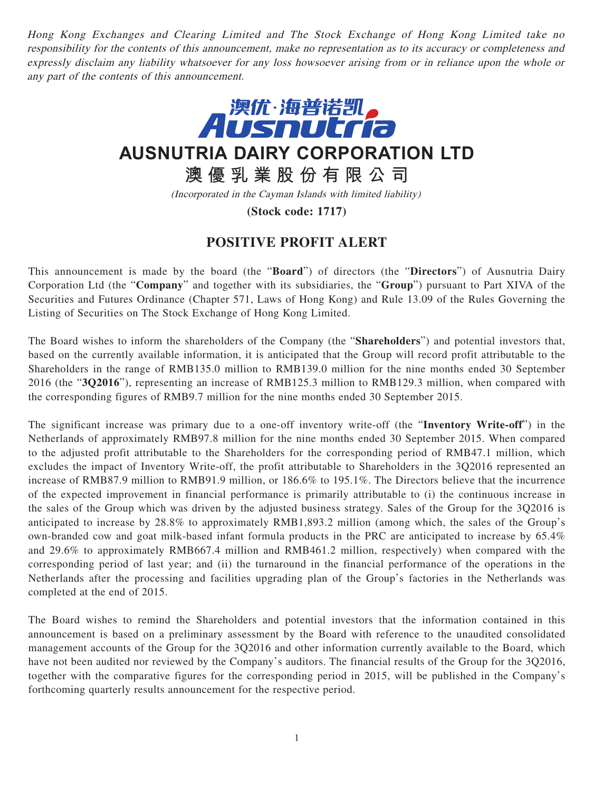Hong Kong Exchanges and Clearing Limited and The Stock Exchange of Hong Kong Limited take no responsibility for the contents of this announcement, make no representation as to its accuracy or completeness and expressly disclaim any liability whatsoever for any loss howsoever arising from or in reliance upon the whole or any part of the contents of this announcement.



**AUSNUTRIA DAIRY CORPORATION LTD**

**澳優乳業股份有限公司**

(Incorporated in the Cayman Islands with limited liability)

**(Stock code: 1717)**

## **POSITIVE PROFIT ALERT**

This announcement is made by the board (the "**Board**") of directors (the "**Directors**") of Ausnutria Dairy Corporation Ltd (the "**Company**" and together with its subsidiaries, the "**Group**") pursuant to Part XIVA of the Securities and Futures Ordinance (Chapter 571, Laws of Hong Kong) and Rule 13.09 of the Rules Governing the Listing of Securities on The Stock Exchange of Hong Kong Limited.

The Board wishes to inform the shareholders of the Company (the "**Shareholders**") and potential investors that, based on the currently available information, it is anticipated that the Group will record profit attributable to the Shareholders in the range of RMB135.0 million to RMB139.0 million for the nine months ended 30 September 2016 (the "**3Q2016**"), representing an increase of RMB125.3 million to RMB129.3 million, when compared with the corresponding figures of RMB9.7 million for the nine months ended 30 September 2015.

The significant increase was primary due to a one-off inventory write-off (the "**Inventory Write-off**") in the Netherlands of approximately RMB97.8 million for the nine months ended 30 September 2015. When compared to the adjusted profit attributable to the Shareholders for the corresponding period of RMB47.1 million, which excludes the impact of Inventory Write-off, the profit attributable to Shareholders in the 3Q2016 represented an increase of RMB87.9 million to RMB91.9 million, or 186.6% to 195.1%. The Directors believe that the incurrence of the expected improvement in financial performance is primarily attributable to (i) the continuous increase in the sales of the Group which was driven by the adjusted business strategy. Sales of the Group for the 3Q2016 is anticipated to increase by 28.8% to approximately RMB1,893.2 million (among which, the sales of the Group's own-branded cow and goat milk-based infant formula products in the PRC are anticipated to increase by 65.4% and 29.6% to approximately RMB667.4 million and RMB461.2 million, respectively) when compared with the corresponding period of last year; and (ii) the turnaround in the financial performance of the operations in the Netherlands after the processing and facilities upgrading plan of the Group's factories in the Netherlands was completed at the end of 2015.

The Board wishes to remind the Shareholders and potential investors that the information contained in this announcement is based on a preliminary assessment by the Board with reference to the unaudited consolidated management accounts of the Group for the 3Q2016 and other information currently available to the Board, which have not been audited nor reviewed by the Company's auditors. The financial results of the Group for the 3Q2016, together with the comparative figures for the corresponding period in 2015, will be published in the Company's forthcoming quarterly results announcement for the respective period.